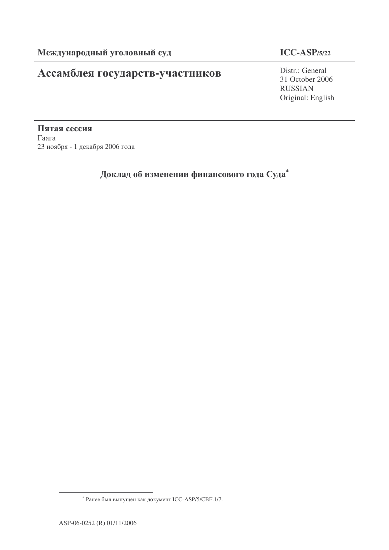# Ассамблея государств-участников

## **ICC-ASP/5/22**

Distr.: General 31 October 2006 RUSSIAN Original: English

Пятая сессия  $\Gamma$ аага 23 ноября - 1 декабря 2006 года

Доклад об изменении финансового года Суда $^\ast$ 

<sup>\*</sup> Ранее был выпущен как документ ICC-ASP/5/CBF.1/7.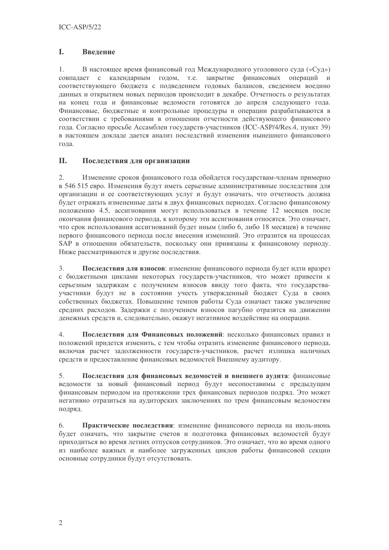#### L. Введение

 $1<sub>1</sub>$ В настоящее время финансовый год Международного уголовного суда («Суд») совпадает с календарным годом, т.е. закрытие финансовых операций и соответствующего бюджета с подведением годовых балансов, сведением воедино данных и открытием новых периодов происходит в декабре. Отчетность о результатах на конец года и финансовые ведомости готовятся до апреля следующего года. Финансовые, бюджетные и контрольные процедуры и операции разрабатываются в соответствии с требованиями в отношении отчетности действующего финансового года. Согласно просьбе Ассамблеи государств-участников (ICC-ASP/4/Res.4, пункт 39) в настоящем локлале лается анализ послелствий изменения нынешнего финансового года.

#### II. Последствия для организации

 $2.$ Изменение сроков финансового года обойдется государствам-членам примерно в 546 515 евро. Изменения будут иметь серьезные административные последствия для организации и ее соответствующих услуг и будут означать, что отчетность должна будет отражать измененные даты в двух финансовых периодах. Согласно финансовому положению 4.5, ассигнования могут использоваться в течение 12 месяцев после окончания финансового периода, к которому эти ассигнования относятся. Это означает, что срок использования ассигнований будет иным (либо 6, либо 18 месяцев) в течение первого финансового периода после внесения изменений. Это отразится на процессах SAP в отношении обязательств, поскольку они привязаны к финансовому периоду. Ниже рассматриваются и другие последствия.

 $\overline{3}$ . Последствия для взносов: изменение финансового периода будет идти вразрез с бюджетными циклами некоторых государств-участников, что может привести к серьезным задержкам с получением взносов ввиду того факта, что государстваучастники будут не в состоянии учесть утвержденный бюджет Суда в своих собственных бюджетах. Повышение темпов работы Суда означает также увеличение средних расходов. Задержки с получением взносов пагубно отразятся на движении денежных средств и, следовательно, окажут негативное воздействие на операции.

 $\overline{4}$ . Последствия для Финансовых положений: несколько финансовых правил и положений придется изменить, с тем чтобы отразить изменение финансового периода, включая расчет задолженности государств-участников, расчет излишка наличных средств и предоставление финансовых ведомостей Внешнему аудитору.

 $5<sub>1</sub>$ Последствия для финансовых ведомостей и внешнего аудита: финансовые ведомости за новый финансовый период будут несопоставимы с предыдущим финансовым периодом на протяжении трех финансовых периодов подряд. Это может негативно отразиться на аудиторских заключениях по трем финансовым ведомостям подряд.

Практические последствия: изменение финансового периода на июль-июнь  $6<sub>1</sub>$ будет означать, что закрытие счетов и подготовка финансовых ведомостей будут приходиться во время летних отпусков сотрудников. Это означает, что во время одного из наиболее важных и наиболее загруженных циклов работы финансовой секции основные сотрудники будут отсутствовать.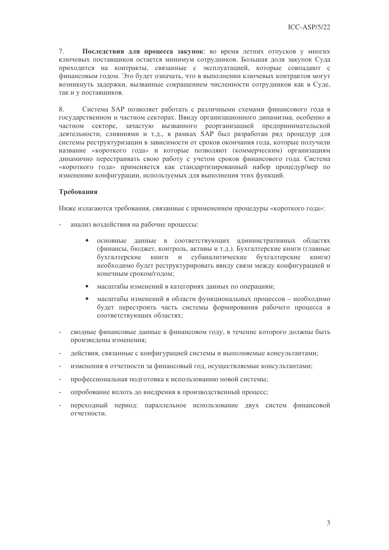7. Последствия для процесса закупок: во время летних отпусков у многих ключевых поставщиков остается минимум сотрудников. Большая доля закупок Суда приходится на контракты, связанные с эксплуатацией, которые совпадают с финансовым годом. Это будет означать, что в выполнении ключевых контрактов могут возникнуть задержки, вызванные сокращением численности сотрудников как в Суде, так и у поставщиков.

8. Система SAP позволяет работать с различными схемами финансового года в государственном и частном секторах. Ввиду организационного динамизма, особенно в частном секторе, зачастую вызванного реорганизацией предпринимательской деятельности, слияниями и т.д., в рамках SAP был разработан ряд процедур для системы реструктуризации в зависимости от сроков окончания года, которые получили название «короткого года» и которые позволяют (коммерческим) организациям динамично перестраивать свою работу с учетом сроков финансового года. Система «короткого года» применяется как стандартизированный набор процедур/мер по изменению конфигурации, используемых для выполнения этих функций.

## Требования

Ниже излагаются требования, связанные с применением процедуры «короткого года»:

- анализ воздействия на рабочие процессы:
	- основные данные в соответствующих административных областях  $\bullet$ (финансы, бюджет, контроль, активы и т.д.). Бухгалтерские книги (главные бухгалтерские книги и субаналитические бухгалтерские книги) необходимо будет реструктурировать ввиду связи между конфигурацией и конечным сроком/годом;
	- масштабы изменений в категориях ланных по операциям:
	- масштабы изменений в области функциональных процессов необходимо будет перестроить часть системы формирования рабочего процесса в соответствующих областях;
- сводные финансовые данные в финансовом году, в течение которого должны быть  $\mathbb{R}^{\mathbb{Z}^2}$ произведены изменения;
- действия, связанные с конфигурацией системы и выполняемые консультантами;  $\overline{\phantom{a}}$
- изменения в отчетности за финансовый год, осуществляемые консультантами;
- профессиональная подготовка к использованию новой системы;  $\overline{a}$
- опробование вплоть до внедрения в производственный процесс;
- переходный период: параллельное использование двух систем финансовой отчетности.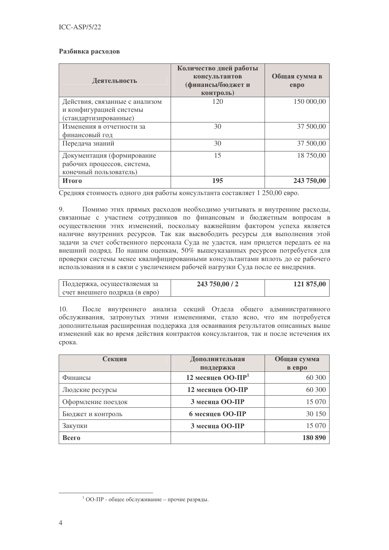### Разбивка расходов

| Деятельность                   | Количество дней работы<br>консультантов<br>(финансы/бюджет и<br>контроль) | Общая сумма в<br>e <sub>Bpo</sub> |
|--------------------------------|---------------------------------------------------------------------------|-----------------------------------|
| Действия, связанные с анализом | 120                                                                       | 150 000,00                        |
| и конфигурацией системы        |                                                                           |                                   |
| (стандартизированные)          |                                                                           |                                   |
| Изменения в отчетности за      | 30                                                                        | 37 500,00                         |
| финансовый год                 |                                                                           |                                   |
| Передача знаний                | 30                                                                        | 37 500,00                         |
| Документация (формирование     | 15                                                                        | 18 750,00                         |
| рабочих процессов, система,    |                                                                           |                                   |
| конечный пользователь)         |                                                                           |                                   |
| Итого                          | 195                                                                       | 243 750,00                        |

Средняя стоимость одного дня работы консультанта составляет 1 250,00 евро.

9. Помимо этих прямых расходов необходимо учитывать и внутренние расходы, связанные с участием сотрудников по финансовым и бюджетным вопросам в осуществлении этих изменений, поскольку важнейшим фактором успеха является наличие внутренних ресурсов. Так как высвободить ресурсы для выполнения этой задачи за счет собственного персонала Суда не удастся, нам придется передать ее на внешний подряд. По нашим оценкам, 50% вышеуказанных ресурсов потребуется для проверки системы менее квалифицированными консультантами вплоть до ее рабочего использования и в связи с увеличением рабочей нагрузки Суда после ее внедрения.

| Поддержка, осуществляемая за   | 243 750,00 / 2 | 121 875,00 |
|--------------------------------|----------------|------------|
| счет внешнего подряда (в евро) |                |            |

 $10.$ После внутреннего анализа секций Отдела общего административного обслуживания, затронутых этими изменениями, стало ясно, что им потребуется дополнительная расширенная поддержка для осваивания результатов описанных выше изменений как во время действия контрактов консультантов, так и после истечения их срока.

| Секция             | Дополнительная                | Общая сумма |
|--------------------|-------------------------------|-------------|
|                    | поддержка                     | в евро      |
| Финансы            | 12 месяцев ОО-ПР <sup>1</sup> | 60 300      |
| Людские ресурсы    | 12 месяцев ОО-ПР              | 60 300      |
| Оформление поездок | 3 месяца ОО-ПР                | 15 070      |
| Бюджет и контроль  | 6 месяцев ОО-ПР               | 30 150      |
| Закупки            | 3 месяца ОО-ПР                | 15 070      |
| Всего              |                               | 180 890     |

<sup>&</sup>lt;sup>1</sup> ОО-ПР - общее обслуживание - прочие разряды.